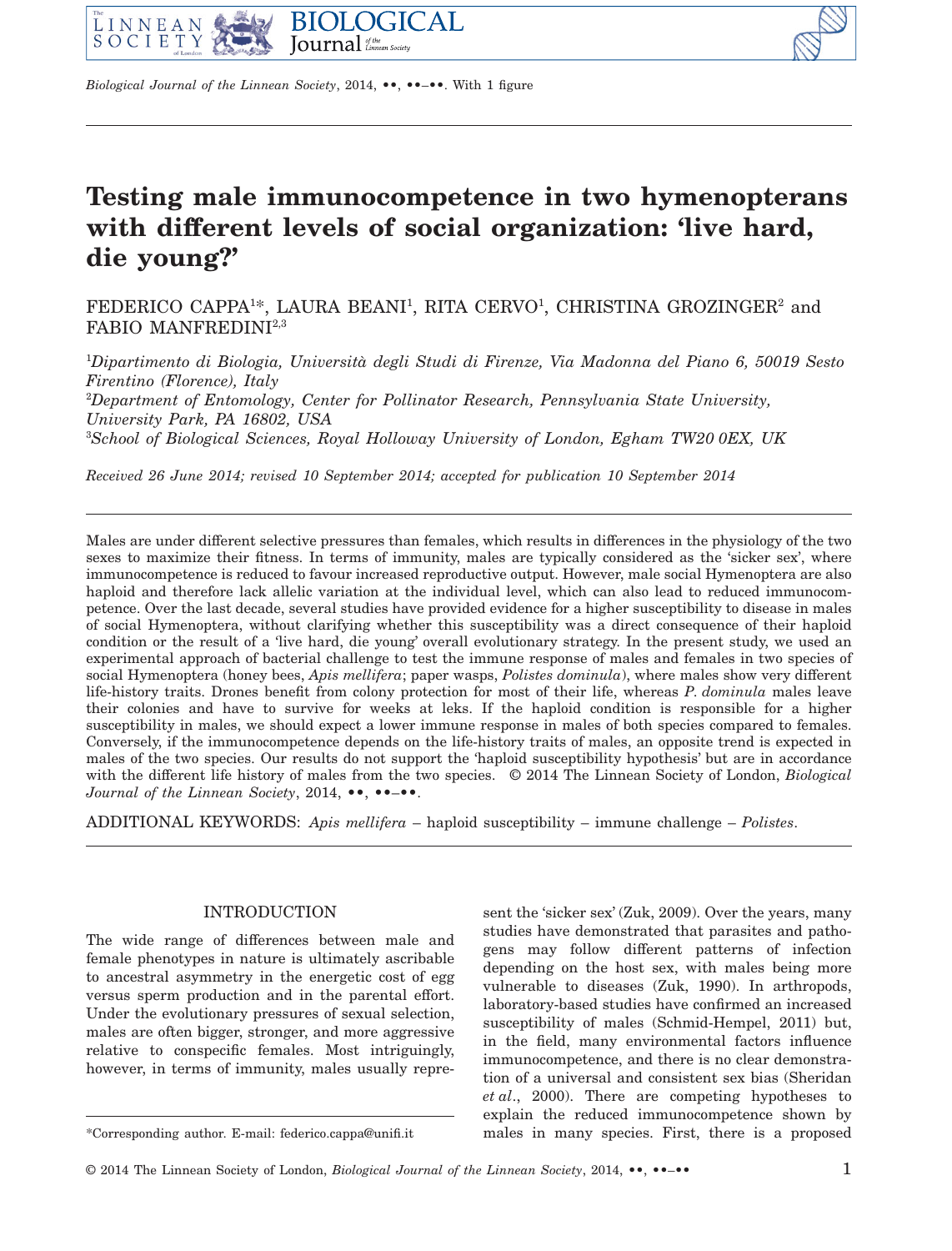



*Biological Journal of the Linnean Society*, 2014, **••**, ••–••. With 1 figure

# **Testing male immunocompetence in two hymenopterans with different levels of social organization: 'live hard, die young?'**

FEDERICO CAPPA<sup>1\*</sup>, LAURA BEANI<sup>1</sup>, RITA CERVO<sup>1</sup>, CHRISTINA GROZINGER<sup>2</sup> and FABIO MANFREDINI<sup>2,3</sup>

1 *Dipartimento di Biologia, Università degli Studi di Firenze, Via Madonna del Piano 6, 50019 Sesto Firentino (Florence), Italy* 2 *Department of Entomology, Center for Pollinator Research, Pennsylvania State University, University Park, PA 16802, USA* 3 *School of Biological Sciences, Royal Holloway University of London, Egham TW20 0EX, UK*

*Received 26 June 2014; revised 10 September 2014; accepted for publication 10 September 2014*

Males are under different selective pressures than females, which results in differences in the physiology of the two sexes to maximize their fitness. In terms of immunity, males are typically considered as the 'sicker sex', where immunocompetence is reduced to favour increased reproductive output. However, male social Hymenoptera are also haploid and therefore lack allelic variation at the individual level, which can also lead to reduced immunocompetence. Over the last decade, several studies have provided evidence for a higher susceptibility to disease in males of social Hymenoptera, without clarifying whether this susceptibility was a direct consequence of their haploid condition or the result of a 'live hard, die young' overall evolutionary strategy. In the present study, we used an experimental approach of bacterial challenge to test the immune response of males and females in two species of social Hymenoptera (honey bees, *Apis mellifera*; paper wasps, *Polistes dominula*), where males show very different life-history traits. Drones benefit from colony protection for most of their life, whereas *P. dominula* males leave their colonies and have to survive for weeks at leks. If the haploid condition is responsible for a higher susceptibility in males, we should expect a lower immune response in males of both species compared to females. Conversely, if the immunocompetence depends on the life-history traits of males, an opposite trend is expected in males of the two species. Our results do not support the 'haploid susceptibility hypothesis' but are in accordance with the different life history of males from the two species. © 2014 The Linnean Society of London, *Biological Journal of the Linnean Society*, 2014, **••**, ••–••.

ADDITIONAL KEYWORDS: *Apis mellifera* – haploid susceptibility – immune challenge – *Polistes*.

# INTRODUCTION

The wide range of differences between male and female phenotypes in nature is ultimately ascribable to ancestral asymmetry in the energetic cost of egg versus sperm production and in the parental effort. Under the evolutionary pressures of sexual selection, males are often bigger, stronger, and more aggressive relative to conspecific females. Most intriguingly, however, in terms of immunity, males usually repre-

sent the 'sicker sex' (Zuk, 2009). Over the years, many studies have demonstrated that parasites and pathogens may follow different patterns of infection depending on the host sex, with males being more vulnerable to diseases (Zuk, 1990). In arthropods, laboratory-based studies have confirmed an increased susceptibility of males (Schmid-Hempel, 2011) but, in the field, many environmental factors influence immunocompetence, and there is no clear demonstration of a universal and consistent sex bias (Sheridan *et al*., 2000). There are competing hypotheses to explain the reduced immunocompetence shown by \*Corresponding author. E-mail: [federico.cappa@unifi.it](mailto:federico.cappa@unifi.it) males in many species. First, there is a proposed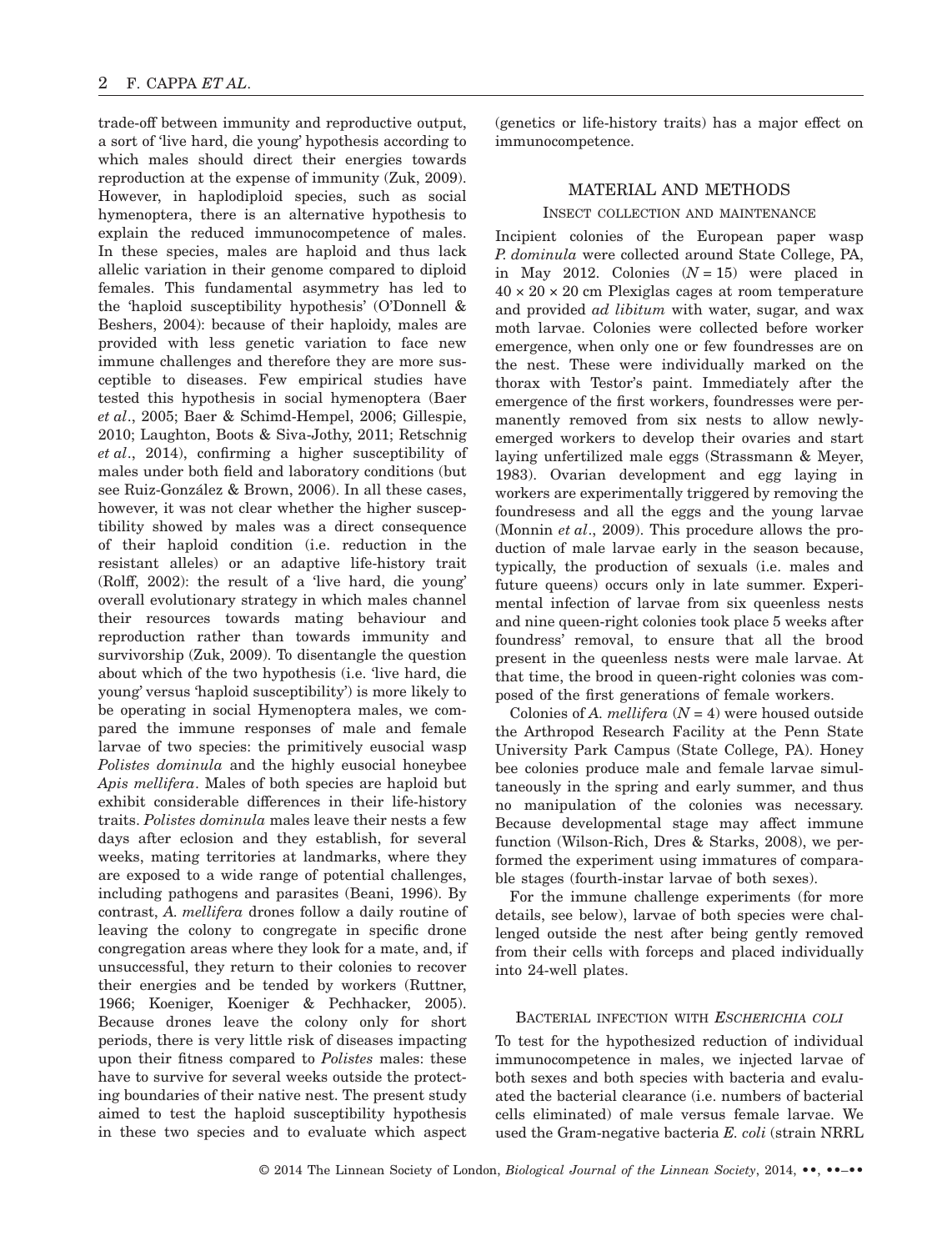trade-off between immunity and reproductive output, a sort of 'live hard, die young' hypothesis according to which males should direct their energies towards reproduction at the expense of immunity (Zuk, 2009). However, in haplodiploid species, such as social hymenoptera, there is an alternative hypothesis to explain the reduced immunocompetence of males. In these species, males are haploid and thus lack allelic variation in their genome compared to diploid females. This fundamental asymmetry has led to the 'haploid susceptibility hypothesis' (O'Donnell & Beshers, 2004): because of their haploidy, males are provided with less genetic variation to face new immune challenges and therefore they are more susceptible to diseases. Few empirical studies have tested this hypothesis in social hymenoptera (Baer *et al*., 2005; Baer & Schimd-Hempel, 2006; Gillespie, 2010; Laughton, Boots & Siva-Jothy, 2011; Retschnig *et al*., 2014), confirming a higher susceptibility of males under both field and laboratory conditions (but see Ruiz-González & Brown, 2006). In all these cases, however, it was not clear whether the higher susceptibility showed by males was a direct consequence of their haploid condition (i.e. reduction in the resistant alleles) or an adaptive life-history trait (Rolff, 2002): the result of a 'live hard, die young' overall evolutionary strategy in which males channel their resources towards mating behaviour and reproduction rather than towards immunity and survivorship (Zuk, 2009). To disentangle the question about which of the two hypothesis (i.e. 'live hard, die young' versus 'haploid susceptibility') is more likely to be operating in social Hymenoptera males, we compared the immune responses of male and female larvae of two species: the primitively eusocial wasp *Polistes dominula* and the highly eusocial honeybee *Apis mellifera*. Males of both species are haploid but exhibit considerable differences in their life-history traits. *Polistes dominula* males leave their nests a few days after eclosion and they establish, for several weeks, mating territories at landmarks, where they are exposed to a wide range of potential challenges, including pathogens and parasites (Beani, 1996). By contrast, *A. mellifera* drones follow a daily routine of leaving the colony to congregate in specific drone congregation areas where they look for a mate, and, if unsuccessful, they return to their colonies to recover their energies and be tended by workers (Ruttner, 1966; Koeniger, Koeniger & Pechhacker, 2005). Because drones leave the colony only for short periods, there is very little risk of diseases impacting upon their fitness compared to *Polistes* males: these have to survive for several weeks outside the protecting boundaries of their native nest. The present study aimed to test the haploid susceptibility hypothesis in these two species and to evaluate which aspect

(genetics or life-history traits) has a major effect on immunocompetence.

# MATERIAL AND METHODS

## INSECT COLLECTION AND MAINTENANCE

Incipient colonies of the European paper wasp *P. dominula* were collected around State College, PA, in May 2012. Colonies  $(N = 15)$  were placed in  $40 \times 20 \times 20$  cm Plexiglas cages at room temperature and provided *ad libitum* with water, sugar, and wax moth larvae. Colonies were collected before worker emergence, when only one or few foundresses are on the nest. These were individually marked on the thorax with Testor's paint. Immediately after the emergence of the first workers, foundresses were permanently removed from six nests to allow newlyemerged workers to develop their ovaries and start laying unfertilized male eggs (Strassmann & Meyer, 1983). Ovarian development and egg laying in workers are experimentally triggered by removing the foundresess and all the eggs and the young larvae (Monnin *et al*., 2009). This procedure allows the production of male larvae early in the season because, typically, the production of sexuals (i.e. males and future queens) occurs only in late summer. Experimental infection of larvae from six queenless nests and nine queen-right colonies took place 5 weeks after foundress' removal, to ensure that all the brood present in the queenless nests were male larvae. At that time, the brood in queen-right colonies was composed of the first generations of female workers.

Colonies of *A. mellifera*  $(N = 4)$  were housed outside the Arthropod Research Facility at the Penn State University Park Campus (State College, PA). Honey bee colonies produce male and female larvae simultaneously in the spring and early summer, and thus no manipulation of the colonies was necessary. Because developmental stage may affect immune function (Wilson-Rich, Dres & Starks, 2008), we performed the experiment using immatures of comparable stages (fourth-instar larvae of both sexes).

For the immune challenge experiments (for more details, see below), larvae of both species were challenged outside the nest after being gently removed from their cells with forceps and placed individually into 24-well plates.

#### BACTERIAL INFECTION WITH *ESCHERICHIA COLI*

To test for the hypothesized reduction of individual immunocompetence in males, we injected larvae of both sexes and both species with bacteria and evaluated the bacterial clearance (i.e. numbers of bacterial cells eliminated) of male versus female larvae. We used the Gram-negative bacteria *E. coli* (strain NRRL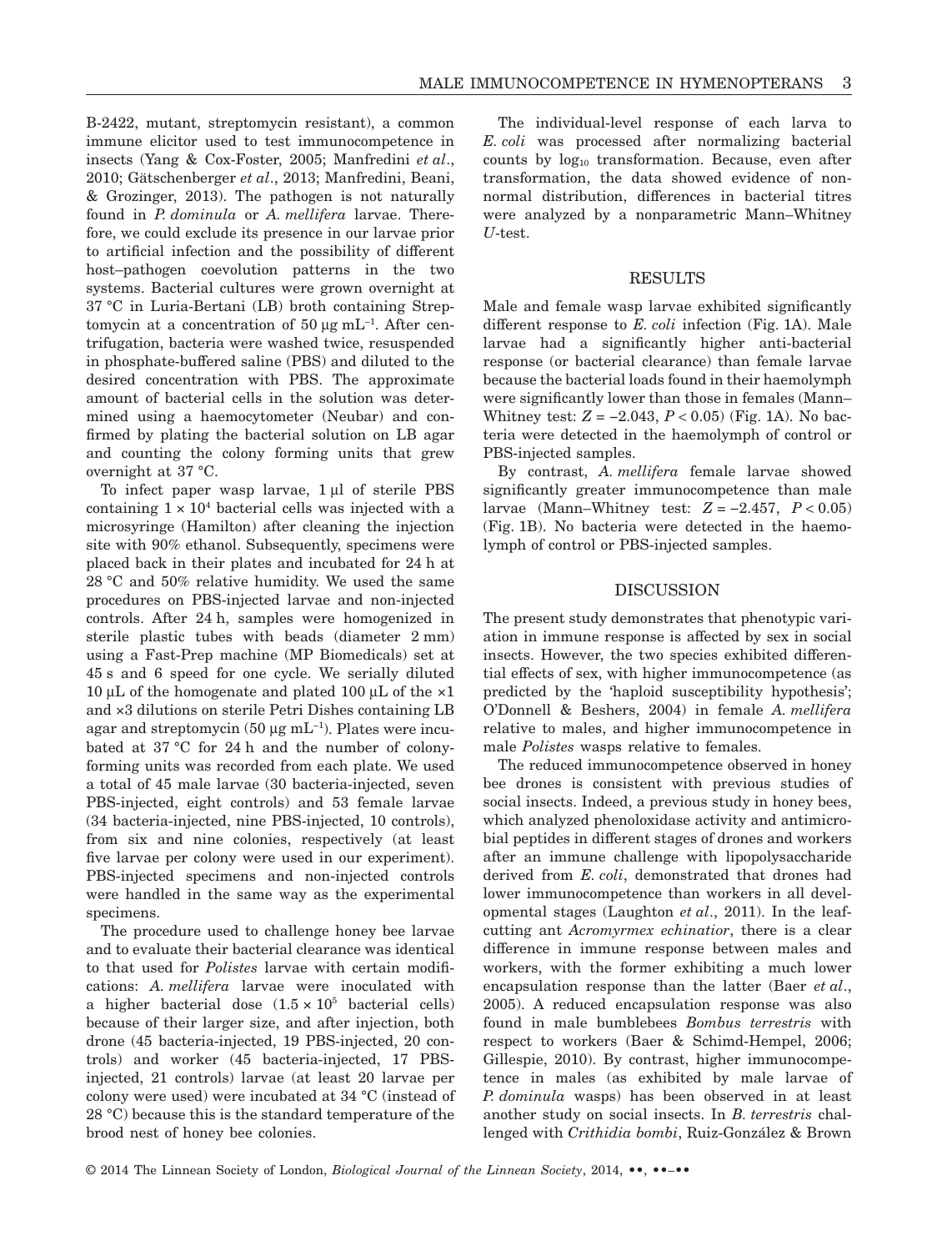B-2422, mutant, streptomycin resistant), a common immune elicitor used to test immunocompetence in insects (Yang & Cox-Foster, 2005; Manfredini *et al*., 2010; Gätschenberger *et al*., 2013; Manfredini, Beani, & Grozinger, 2013). The pathogen is not naturally found in *P. dominula* or *A. mellifera* larvae. Therefore, we could exclude its presence in our larvae prior to artificial infection and the possibility of different host–pathogen coevolution patterns in the two systems. Bacterial cultures were grown overnight at 37 °C in Luria-Bertani (LB) broth containing Streptomycin at a concentration of 50 μg mL−1. After centrifugation, bacteria were washed twice, resuspended in phosphate-buffered saline (PBS) and diluted to the desired concentration with PBS. The approximate amount of bacterial cells in the solution was determined using a haemocytometer (Neubar) and confirmed by plating the bacterial solution on LB agar and counting the colony forming units that grew overnight at 37 °C.

To infect paper wasp larvae, 1 μl of sterile PBS containing  $1 \times 10^4$  bacterial cells was injected with a microsyringe (Hamilton) after cleaning the injection site with 90% ethanol. Subsequently, specimens were placed back in their plates and incubated for 24 h at 28 °C and 50% relative humidity. We used the same procedures on PBS-injected larvae and non-injected controls. After 24 h, samples were homogenized in sterile plastic tubes with beads (diameter 2 mm) using a Fast-Prep machine (MP Biomedicals) set at 45 s and 6 speed for one cycle. We serially diluted 10 μL of the homogenate and plated 100 μL of the ×1 and ×3 dilutions on sterile Petri Dishes containing LB agar and streptomycin  $(50 \mu g \text{ mL}^{-1})$ . Plates were incubated at 37 °C for 24 h and the number of colonyforming units was recorded from each plate. We used a total of 45 male larvae (30 bacteria-injected, seven PBS-injected, eight controls) and 53 female larvae (34 bacteria-injected, nine PBS-injected, 10 controls), from six and nine colonies, respectively (at least five larvae per colony were used in our experiment). PBS-injected specimens and non-injected controls were handled in the same way as the experimental specimens.

The procedure used to challenge honey bee larvae and to evaluate their bacterial clearance was identical to that used for *Polistes* larvae with certain modifications: *A. mellifera* larvae were inoculated with a higher bacterial dose  $(1.5 \times 10^5$  bacterial cells) because of their larger size, and after injection, both drone (45 bacteria-injected, 19 PBS-injected, 20 controls) and worker (45 bacteria-injected, 17 PBSinjected, 21 controls) larvae (at least 20 larvae per colony were used) were incubated at 34 °C (instead of 28 °C) because this is the standard temperature of the brood nest of honey bee colonies.

The individual-level response of each larva to *E. coli* was processed after normalizing bacterial counts by  $log_{10}$  transformation. Because, even after transformation, the data showed evidence of nonnormal distribution, differences in bacterial titres were analyzed by a nonparametric Mann–Whitney *U*-test.

## RESULTS

Male and female wasp larvae exhibited significantly different response to *E. coli* infection (Fig. 1A). Male larvae had a significantly higher anti-bacterial response (or bacterial clearance) than female larvae because the bacterial loads found in their haemolymph were significantly lower than those in females (Mann– Whitney test:  $Z = -2.043$ ,  $P < 0.05$ ) (Fig. 1A). No bacteria were detected in the haemolymph of control or PBS-injected samples.

By contrast, *A. mellifera* female larvae showed significantly greater immunocompetence than male larvae (Mann–Whitney test: *Z* = −2.457, *P* < 0.05) (Fig. 1B). No bacteria were detected in the haemolymph of control or PBS-injected samples.

## DISCUSSION

The present study demonstrates that phenotypic variation in immune response is affected by sex in social insects. However, the two species exhibited differential effects of sex, with higher immunocompetence (as predicted by the 'haploid susceptibility hypothesis'; O'Donnell & Beshers, 2004) in female *A. mellifera* relative to males, and higher immunocompetence in male *Polistes* wasps relative to females.

The reduced immunocompetence observed in honey bee drones is consistent with previous studies of social insects. Indeed, a previous study in honey bees, which analyzed phenoloxidase activity and antimicrobial peptides in different stages of drones and workers after an immune challenge with lipopolysaccharide derived from *E. coli*, demonstrated that drones had lower immunocompetence than workers in all developmental stages (Laughton *et al*., 2011). In the leafcutting ant *Acromyrmex echinatior*, there is a clear difference in immune response between males and workers, with the former exhibiting a much lower encapsulation response than the latter (Baer *et al*., 2005). A reduced encapsulation response was also found in male bumblebees *Bombus terrestris* with respect to workers (Baer & Schimd-Hempel, 2006; Gillespie, 2010). By contrast, higher immunocompetence in males (as exhibited by male larvae of *P. dominula* wasps) has been observed in at least another study on social insects. In *B. terrestris* challenged with *Crithidia bombi*, Ruiz-González & Brown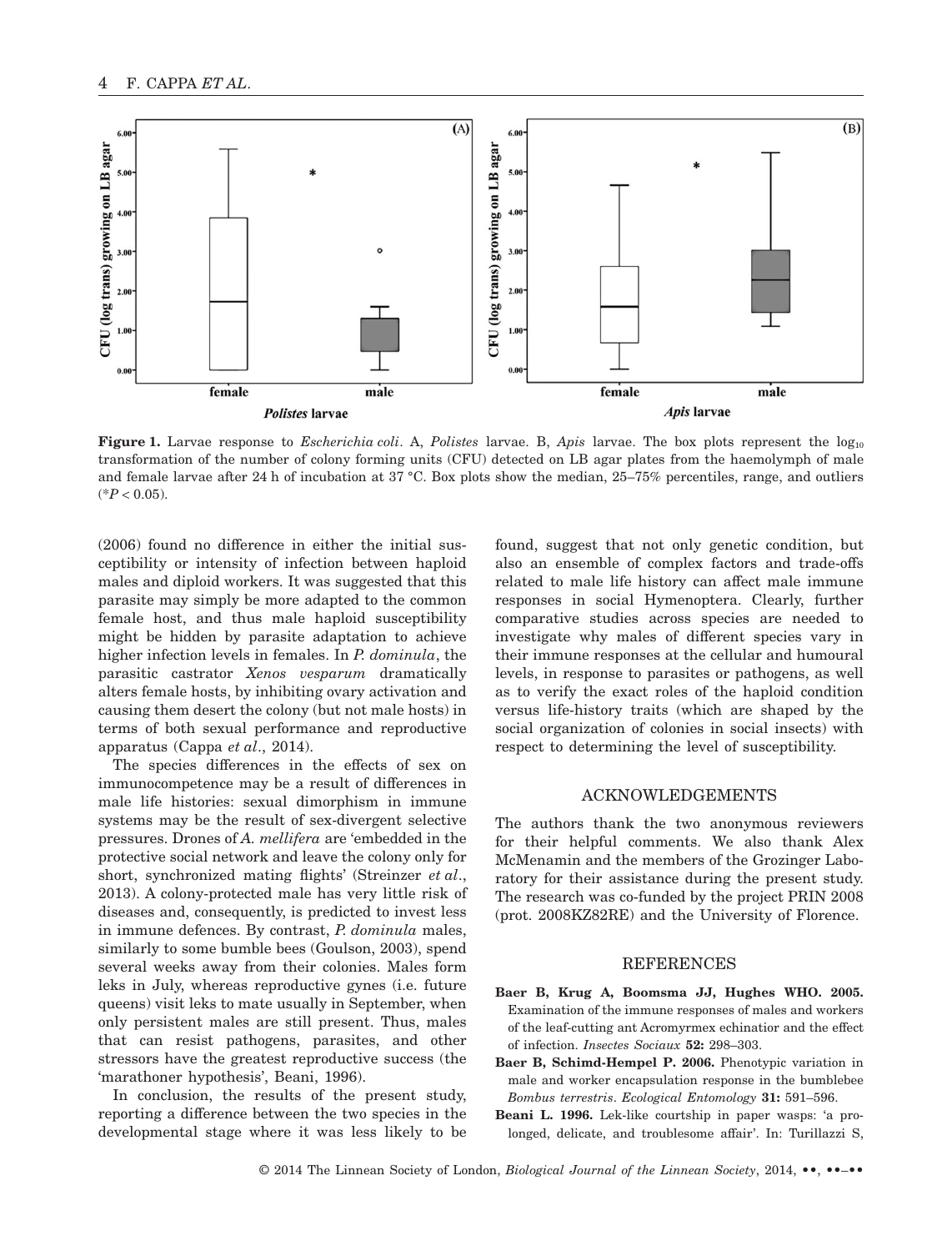

**Figure 1.** Larvae response to *Escherichia coli*. A, *Polistes* larvae. B, *Apis* larvae. The box plots represent the  $log_{10}$ transformation of the number of colony forming units (CFU) detected on LB agar plates from the haemolymph of male and female larvae after 24 h of incubation at 37 °C. Box plots show the median, 25–75% percentiles, range, and outliers  $(*P < 0.05).$ 

(2006) found no difference in either the initial susceptibility or intensity of infection between haploid males and diploid workers. It was suggested that this parasite may simply be more adapted to the common female host, and thus male haploid susceptibility might be hidden by parasite adaptation to achieve higher infection levels in females. In *P. dominula*, the parasitic castrator *Xenos vesparum* dramatically alters female hosts, by inhibiting ovary activation and causing them desert the colony (but not male hosts) in terms of both sexual performance and reproductive apparatus (Cappa *et al*., 2014).

The species differences in the effects of sex on immunocompetence may be a result of differences in male life histories: sexual dimorphism in immune systems may be the result of sex-divergent selective pressures. Drones of *A. mellifera* are 'embedded in the protective social network and leave the colony only for short, synchronized mating flights' (Streinzer *et al*., 2013). A colony-protected male has very little risk of diseases and, consequently, is predicted to invest less in immune defences. By contrast, *P. dominula* males, similarly to some bumble bees (Goulson, 2003), spend several weeks away from their colonies. Males form leks in July, whereas reproductive gynes (i.e. future queens) visit leks to mate usually in September, when only persistent males are still present. Thus, males that can resist pathogens, parasites, and other stressors have the greatest reproductive success (the 'marathoner hypothesis', Beani, 1996).

In conclusion, the results of the present study, reporting a difference between the two species in the developmental stage where it was less likely to be found, suggest that not only genetic condition, but also an ensemble of complex factors and trade-offs related to male life history can affect male immune responses in social Hymenoptera. Clearly, further comparative studies across species are needed to investigate why males of different species vary in their immune responses at the cellular and humoural levels, in response to parasites or pathogens, as well as to verify the exact roles of the haploid condition versus life-history traits (which are shaped by the social organization of colonies in social insects) with respect to determining the level of susceptibility.

## ACKNOWLEDGEMENTS

The authors thank the two anonymous reviewers for their helpful comments. We also thank Alex McMenamin and the members of the Grozinger Laboratory for their assistance during the present study. The research was co-funded by the project PRIN 2008 (prot. 2008KZ82RE) and the University of Florence.

# **REFERENCES**

- **Baer B, Krug A, Boomsma JJ, Hughes WHO. 2005.** Examination of the immune responses of males and workers of the leaf-cutting ant Acromyrmex echinatior and the effect of infection. *Insectes Sociaux* **52:** 298–303.
- **Baer B, Schimd-Hempel P. 2006.** Phenotypic variation in male and worker encapsulation response in the bumblebee *Bombus terrestris*. *Ecological Entomology* **31:** 591–596.
- **Beani L. 1996.** Lek-like courtship in paper wasps: 'a prolonged, delicate, and troublesome affair'. In: Turillazzi S,